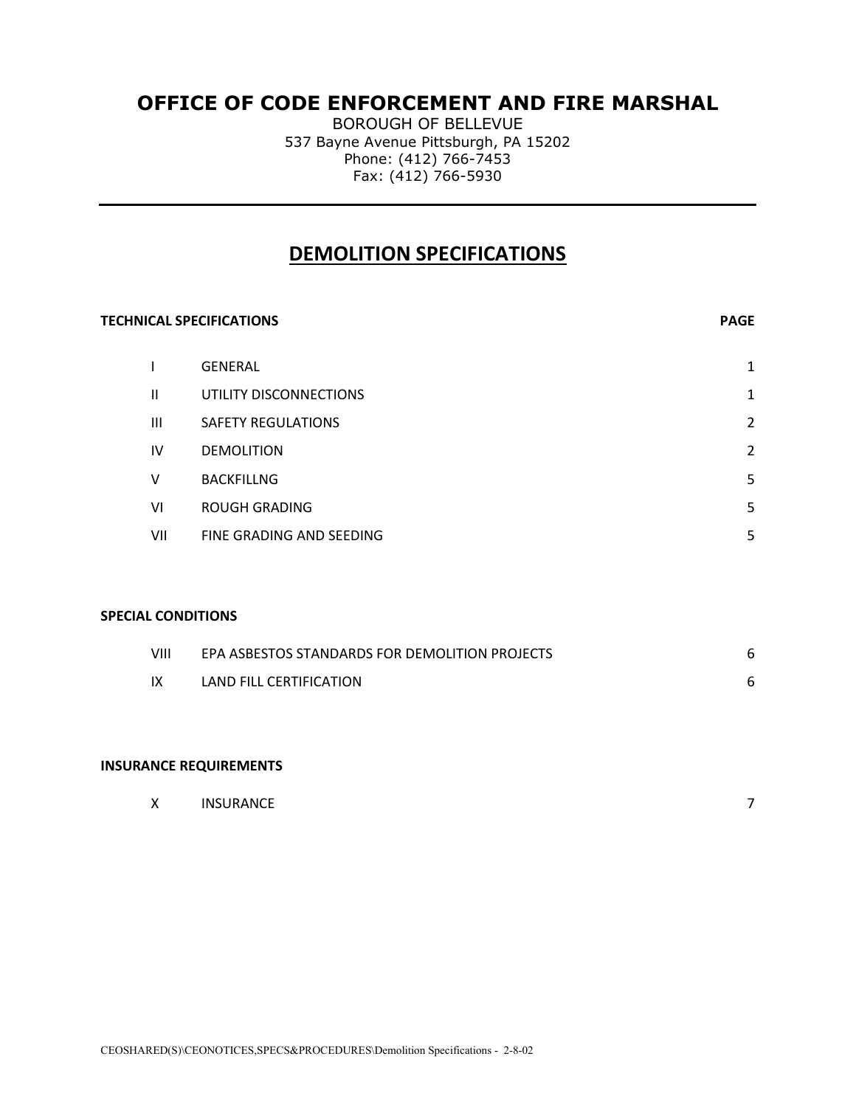## **OFFICE OF CODE ENFORCEMENT AND FIRE MARSHAL**

BOROUGH OF BELLEVUE 537 Bayne Avenue Pittsburgh, PA 15202 Phone: (412) 766-7453 Fax: (412) 766-5930

### **DEMOLITION SPECIFICATIONS**

# **TECHNICAL SPECIFICATIONS PAGE** I GENERAL 1 II UTILITY DISCONNECTIONS 1 III SAFETY REGULATIONS 2 IV DEMOLITION 2 V BACKFILLNG 5 VI ROUGH GRADING 5 VII FINE GRADING AND SEEDING 5

#### **SPECIAL CONDITIONS**

| VIII | EPA ASBESTOS STANDARDS FOR DEMOLITION PROJECTS |  |
|------|------------------------------------------------|--|
| – IX | LAND FILL CERTIFICATION                        |  |

#### **INSURANCE REQUIREMENTS**

|  | INSURANCE |  |
|--|-----------|--|
|--|-----------|--|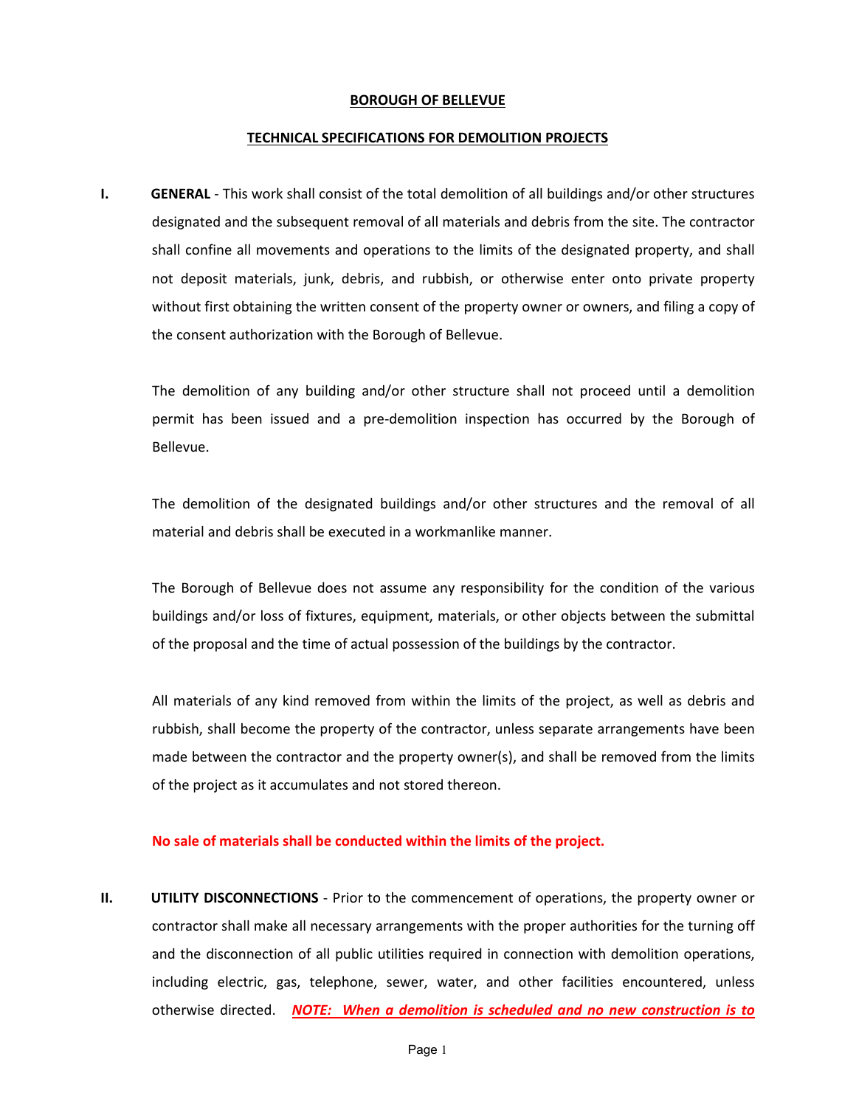#### **BOROUGH OF BELLEVUE**

#### **TECHNICAL SPECIFICATIONS FOR DEMOLITION PROJECTS**

**I. GENERAL** - This work shall consist of the total demolition of all buildings and/or other structures designated and the subsequent removal of all materials and debris from the site. The contractor shall confine all movements and operations to the limits of the designated property, and shall not deposit materials, junk, debris, and rubbish, or otherwise enter onto private property without first obtaining the written consent of the property owner or owners, and filing a copy of the consent authorization with the Borough of Bellevue.

The demolition of any building and/or other structure shall not proceed until a demolition permit has been issued and a pre-demolition inspection has occurred by the Borough of Bellevue.

The demolition of the designated buildings and/or other structures and the removal of all material and debris shall be executed in a workmanlike manner.

The Borough of Bellevue does not assume any responsibility for the condition of the various buildings and/or loss of fixtures, equipment, materials, or other objects between the submittal of the proposal and the time of actual possession of the buildings by the contractor.

All materials of any kind removed from within the limits of the project, as well as debris and rubbish, shall become the property of the contractor, unless separate arrangements have been made between the contractor and the property owner(s), and shall be removed from the limits of the project as it accumulates and not stored thereon.

#### **No sale of materials shall be conducted within the limits of the project.**

**II. UTILITY DISCONNECTIONS** - Prior to the commencement of operations, the property owner or contractor shall make all necessary arrangements with the proper authorities for the turning off and the disconnection of all public utilities required in connection with demolition operations, including electric, gas, telephone, sewer, water, and other facilities encountered, unless otherwise directed. *NOTE: When a demolition is scheduled and no new construction is to*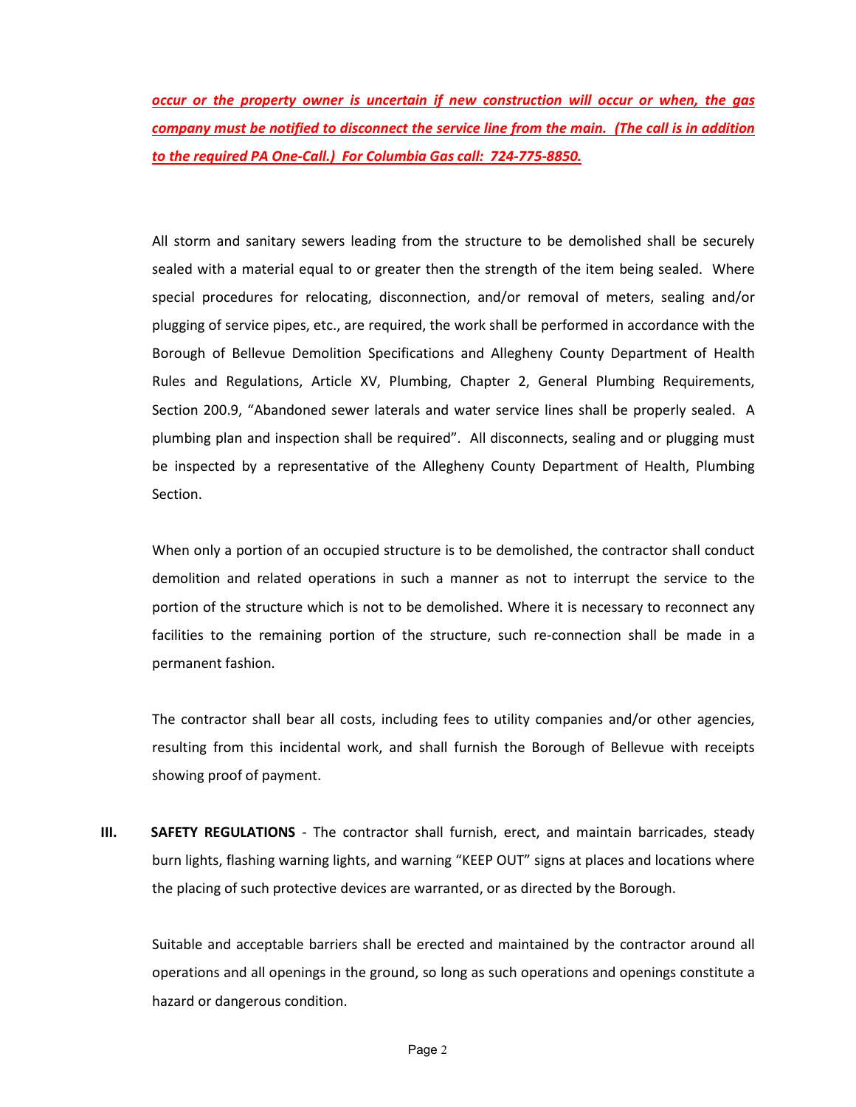*occur or the property owner is uncertain if new construction will occur or when, the gas company must be notified to disconnect the service line from the main. (The call is in addition to the required PA One-Call.) For Columbia Gas call: 724-775-8850.*

All storm and sanitary sewers leading from the structure to be demolished shall be securely sealed with a material equal to or greater then the strength of the item being sealed. Where special procedures for relocating, disconnection, and/or removal of meters, sealing and/or plugging of service pipes, etc., are required, the work shall be performed in accordance with the Borough of Bellevue Demolition Specifications and Allegheny County Department of Health Rules and Regulations, Article XV, Plumbing, Chapter 2, General Plumbing Requirements, Section 200.9, "Abandoned sewer laterals and water service lines shall be properly sealed. A plumbing plan and inspection shall be required". All disconnects, sealing and or plugging must be inspected by a representative of the Allegheny County Department of Health, Plumbing Section.

When only a portion of an occupied structure is to be demolished, the contractor shall conduct demolition and related operations in such a manner as not to interrupt the service to the portion of the structure which is not to be demolished. Where it is necessary to reconnect any facilities to the remaining portion of the structure, such re-connection shall be made in a permanent fashion.

The contractor shall bear all costs, including fees to utility companies and/or other agencies, resulting from this incidental work, and shall furnish the Borough of Bellevue with receipts showing proof of payment.

**III. SAFETY REGULATIONS** - The contractor shall furnish, erect, and maintain barricades, steady burn lights, flashing warning lights, and warning "KEEP OUT" signs at places and locations where the placing of such protective devices are warranted, or as directed by the Borough.

Suitable and acceptable barriers shall be erected and maintained by the contractor around all operations and all openings in the ground, so long as such operations and openings constitute a hazard or dangerous condition.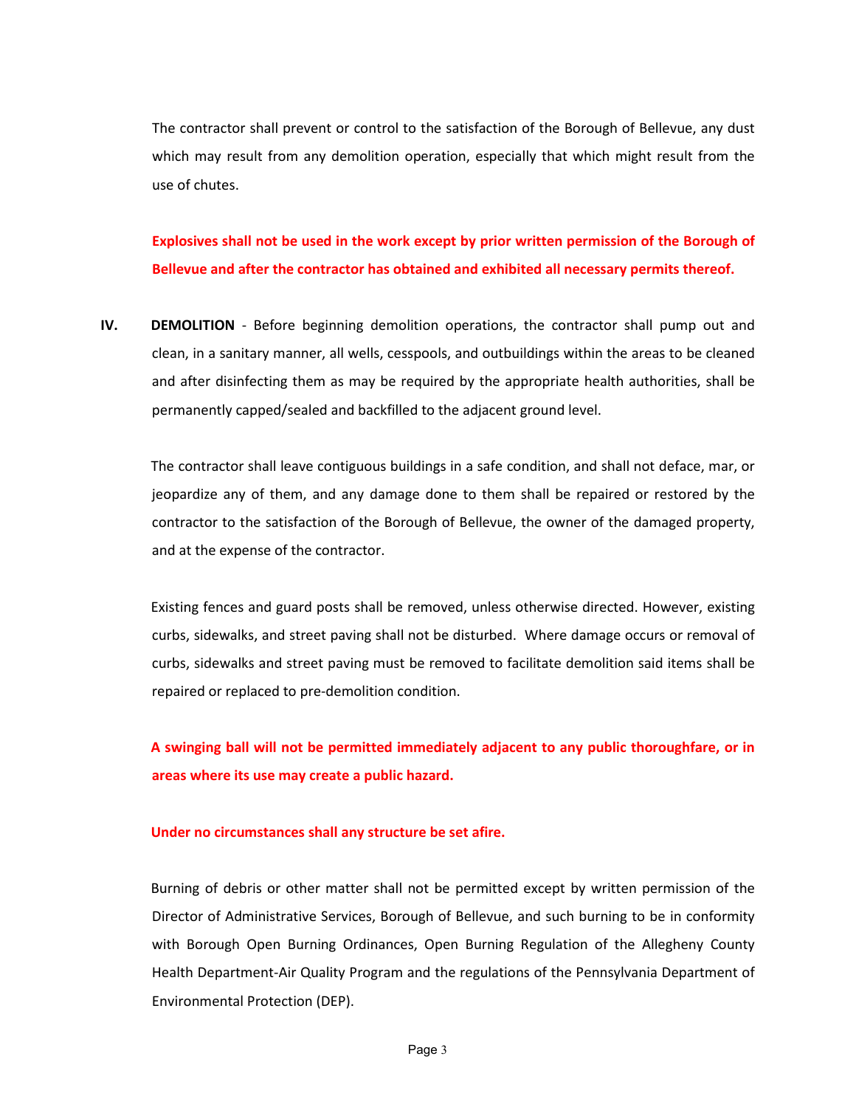The contractor shall prevent or control to the satisfaction of the Borough of Bellevue, any dust which may result from any demolition operation, especially that which might result from the use of chutes.

**Explosives shall not be used in the work except by prior written permission of the Borough of Bellevue and after the contractor has obtained and exhibited all necessary permits thereof.**

**IV. DEMOLITION** - Before beginning demolition operations, the contractor shall pump out and clean, in a sanitary manner, all wells, cesspools, and outbuildings within the areas to be cleaned and after disinfecting them as may be required by the appropriate health authorities, shall be permanently capped/sealed and backfilled to the adjacent ground level.

The contractor shall leave contiguous buildings in a safe condition, and shall not deface, mar, or jeopardize any of them, and any damage done to them shall be repaired or restored by the contractor to the satisfaction of the Borough of Bellevue, the owner of the damaged property, and at the expense of the contractor.

Existing fences and guard posts shall be removed, unless otherwise directed. However, existing curbs, sidewalks, and street paving shall not be disturbed. Where damage occurs or removal of curbs, sidewalks and street paving must be removed to facilitate demolition said items shall be repaired or replaced to pre-demolition condition.

**A swinging ball will not be permitted immediately adjacent to any public thoroughfare, or in areas where its use may create a public hazard.**

#### **Under no circumstances shall any structure be set afire.**

Burning of debris or other matter shall not be permitted except by written permission of the Director of Administrative Services, Borough of Bellevue, and such burning to be in conformity with Borough Open Burning Ordinances, Open Burning Regulation of the Allegheny County Health Department-Air Quality Program and the regulations of the Pennsylvania Department of Environmental Protection (DEP).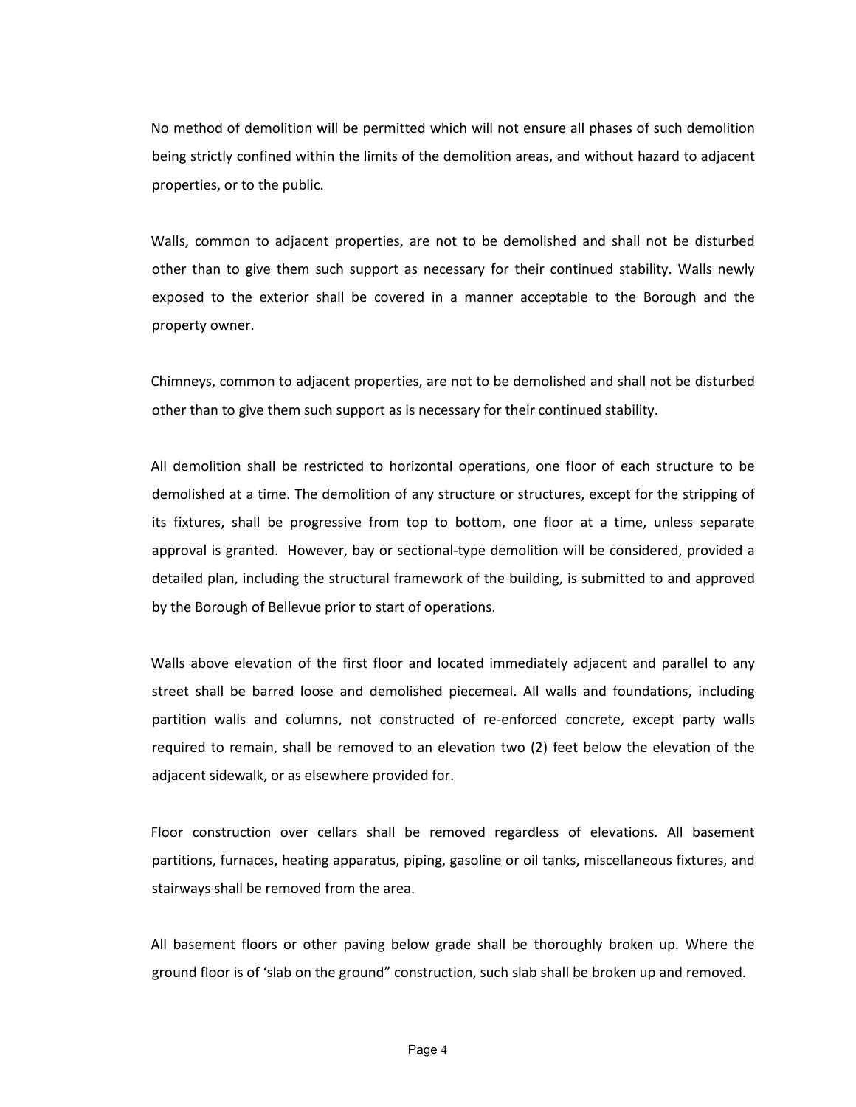No method of demolition will be permitted which will not ensure all phases of such demolition being strictly confined within the limits of the demolition areas, and without hazard to adjacent properties, or to the public.

Walls, common to adjacent properties, are not to be demolished and shall not be disturbed other than to give them such support as necessary for their continued stability. Walls newly exposed to the exterior shall be covered in a manner acceptable to the Borough and the property owner.

Chimneys, common to adjacent properties, are not to be demolished and shall not be disturbed other than to give them such support as is necessary for their continued stability.

All demolition shall be restricted to horizontal operations, one floor of each structure to be demolished at a time. The demolition of any structure or structures, except for the stripping of its fixtures, shall be progressive from top to bottom, one floor at a time, unless separate approval is granted. However, bay or sectional-type demolition will be considered, provided a detailed plan, including the structural framework of the building, is submitted to and approved by the Borough of Bellevue prior to start of operations.

Walls above elevation of the first floor and located immediately adjacent and parallel to any street shall be barred loose and demolished piecemeal. All walls and foundations, including partition walls and columns, not constructed of re-enforced concrete, except party walls required to remain, shall be removed to an elevation two (2) feet below the elevation of the adjacent sidewalk, or as elsewhere provided for.

Floor construction over cellars shall be removed regardless of elevations. All basement partitions, furnaces, heating apparatus, piping, gasoline or oil tanks, miscellaneous fixtures, and stairways shall be removed from the area.

All basement floors or other paving below grade shall be thoroughly broken up. Where the ground floor is of 'slab on the ground" construction, such slab shall be broken up and removed.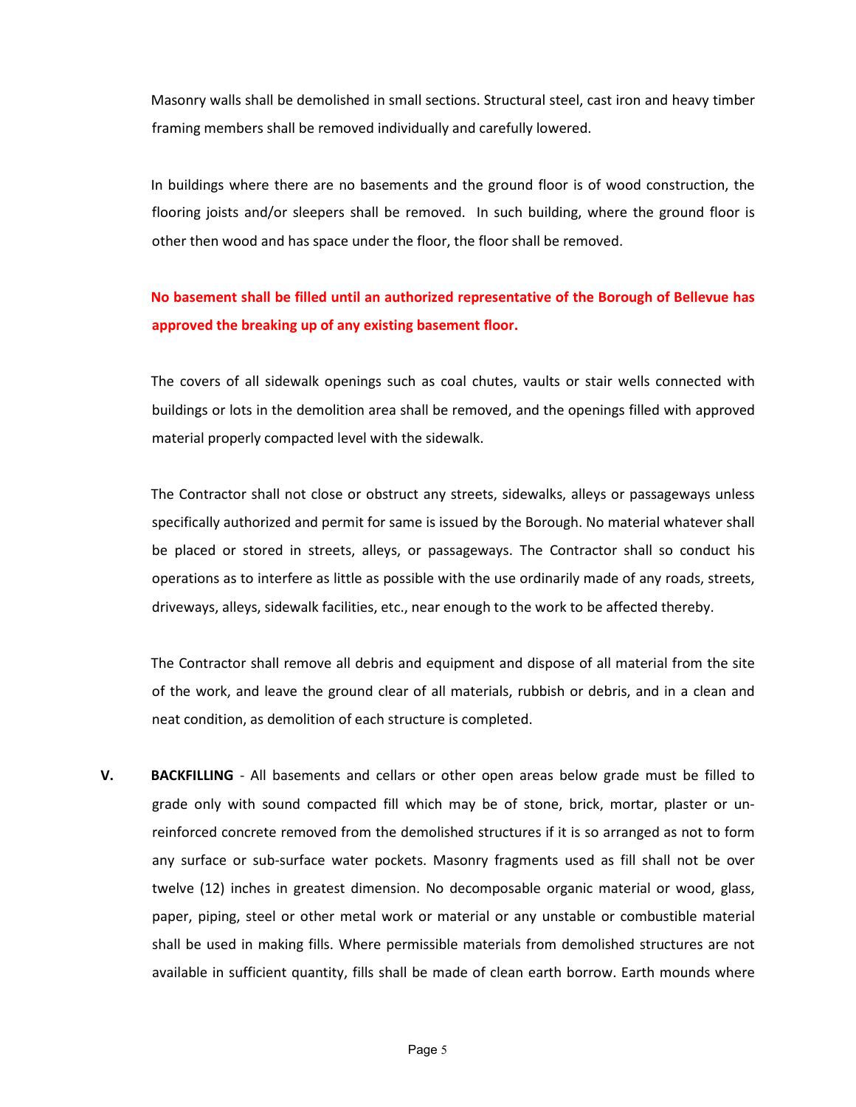Masonry walls shall be demolished in small sections. Structural steel, cast iron and heavy timber framing members shall be removed individually and carefully lowered.

In buildings where there are no basements and the ground floor is of wood construction, the flooring joists and/or sleepers shall be removed. In such building, where the ground floor is other then wood and has space under the floor, the floor shall be removed.

## **No basement shall be filled until an authorized representative of the Borough of Bellevue has approved the breaking up of any existing basement floor.**

The covers of all sidewalk openings such as coal chutes, vaults or stair wells connected with buildings or lots in the demolition area shall be removed, and the openings filled with approved material properly compacted level with the sidewalk.

The Contractor shall not close or obstruct any streets, sidewalks, alleys or passageways unless specifically authorized and permit for same is issued by the Borough. No material whatever shall be placed or stored in streets, alleys, or passageways. The Contractor shall so conduct his operations as to interfere as little as possible with the use ordinarily made of any roads, streets, driveways, alleys, sidewalk facilities, etc., near enough to the work to be affected thereby.

The Contractor shall remove all debris and equipment and dispose of all material from the site of the work, and leave the ground clear of all materials, rubbish or debris, and in a clean and neat condition, as demolition of each structure is completed.

**V. BACKFILLING** - All basements and cellars or other open areas below grade must be filled to grade only with sound compacted fill which may be of stone, brick, mortar, plaster or unreinforced concrete removed from the demolished structures if it is so arranged as not to form any surface or sub-surface water pockets. Masonry fragments used as fill shall not be over twelve (12) inches in greatest dimension. No decomposable organic material or wood, glass, paper, piping, steel or other metal work or material or any unstable or combustible material shall be used in making fills. Where permissible materials from demolished structures are not available in sufficient quantity, fills shall be made of clean earth borrow. Earth mounds where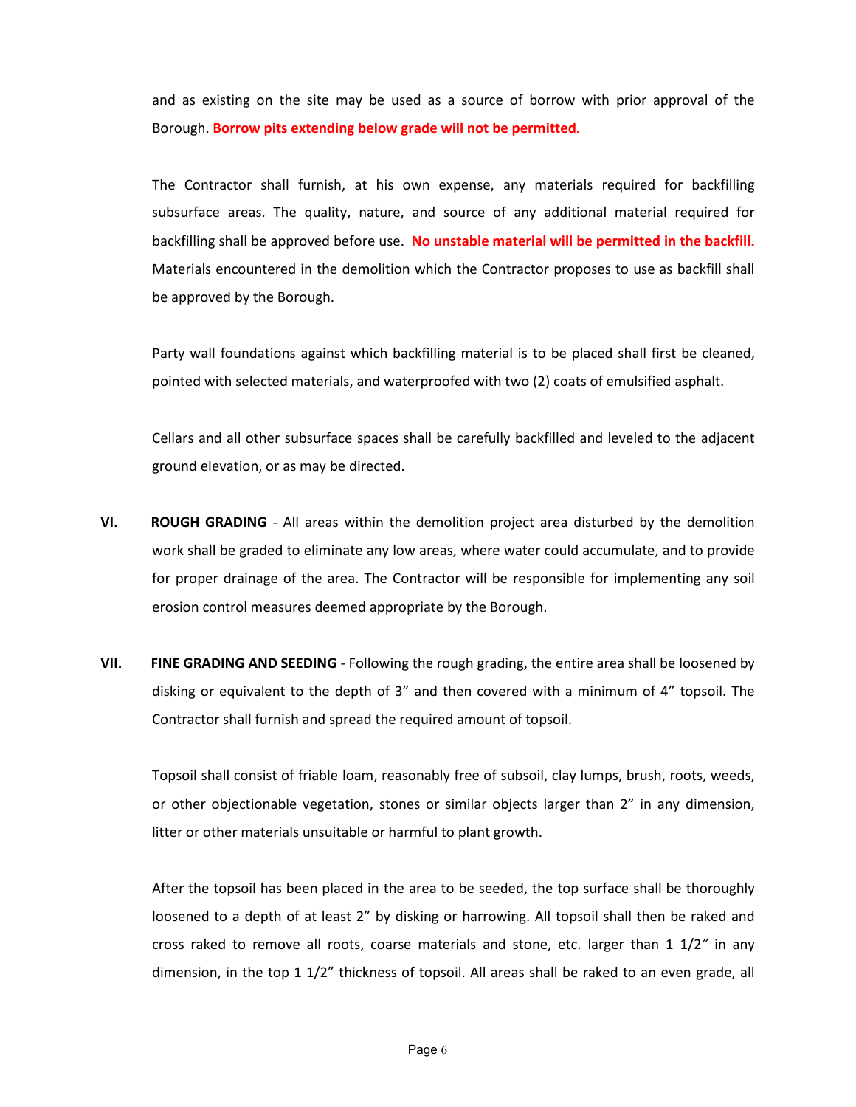and as existing on the site may be used as a source of borrow with prior approval of the Borough. **Borrow pits extending below grade will not be permitted.**

The Contractor shall furnish, at his own expense, any materials required for backfilling subsurface areas. The quality, nature, and source of any additional material required for backfilling shall be approved before use. **No unstable material will be permitted in the backfill.** Materials encountered in the demolition which the Contractor proposes to use as backfill shall be approved by the Borough.

Party wall foundations against which backfilling material is to be placed shall first be cleaned, pointed with selected materials, and waterproofed with two (2) coats of emulsified asphalt.

Cellars and all other subsurface spaces shall be carefully backfilled and leveled to the adjacent ground elevation, or as may be directed.

- **VI. ROUGH GRADING**  All areas within the demolition project area disturbed by the demolition work shall be graded to eliminate any low areas, where water could accumulate, and to provide for proper drainage of the area. The Contractor will be responsible for implementing any soil erosion control measures deemed appropriate by the Borough.
- **VII. FINE GRADING AND SEEDING** Following the rough grading, the entire area shall be loosened by disking or equivalent to the depth of 3" and then covered with a minimum of 4" topsoil. The Contractor shall furnish and spread the required amount of topsoil.

Topsoil shall consist of friable loam, reasonably free of subsoil, clay lumps, brush, roots, weeds, or other objectionable vegetation, stones or similar objects larger than 2" in any dimension, litter or other materials unsuitable or harmful to plant growth.

After the topsoil has been placed in the area to be seeded, the top surface shall be thoroughly loosened to a depth of at least 2" by disking or harrowing. All topsoil shall then be raked and cross raked to remove all roots, coarse materials and stone, etc. larger than 1 1/2*"* in any dimension, in the top 1 1/2" thickness of topsoil. All areas shall be raked to an even grade, all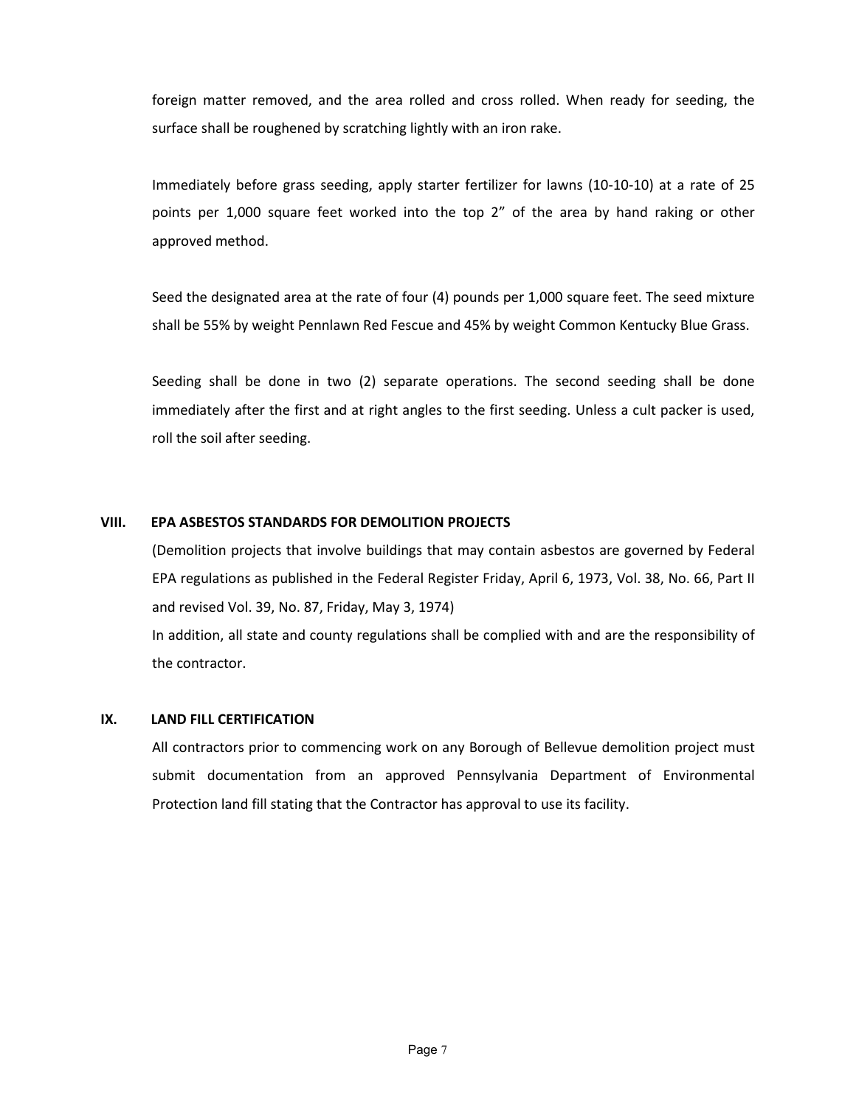foreign matter removed, and the area rolled and cross rolled. When ready for seeding, the surface shall be roughened by scratching lightly with an iron rake.

Immediately before grass seeding, apply starter fertilizer for lawns (10-10-10) at a rate of 25 points per 1,000 square feet worked into the top 2" of the area by hand raking or other approved method.

Seed the designated area at the rate of four (4) pounds per 1,000 square feet. The seed mixture shall be 55% by weight Pennlawn Red Fescue and 45% by weight Common Kentucky Blue Grass.

Seeding shall be done in two (2) separate operations. The second seeding shall be done immediately after the first and at right angles to the first seeding. Unless a cult packer is used, roll the soil after seeding.

#### **VIII. EPA ASBESTOS STANDARDS FOR DEMOLITION PROJECTS**

(Demolition projects that involve buildings that may contain asbestos are governed by Federal EPA regulations as published in the Federal Register Friday, April 6, 1973, Vol. 38, No. 66, Part II and revised Vol. 39, No. 87, Friday, May 3, 1974) In addition, all state and county regulations shall be complied with and are the responsibility of the contractor.

#### **IX. LAND FILL CERTIFICATION**

All contractors prior to commencing work on any Borough of Bellevue demolition project must submit documentation from an approved Pennsylvania Department of Environmental Protection land fill stating that the Contractor has approval to use its facility.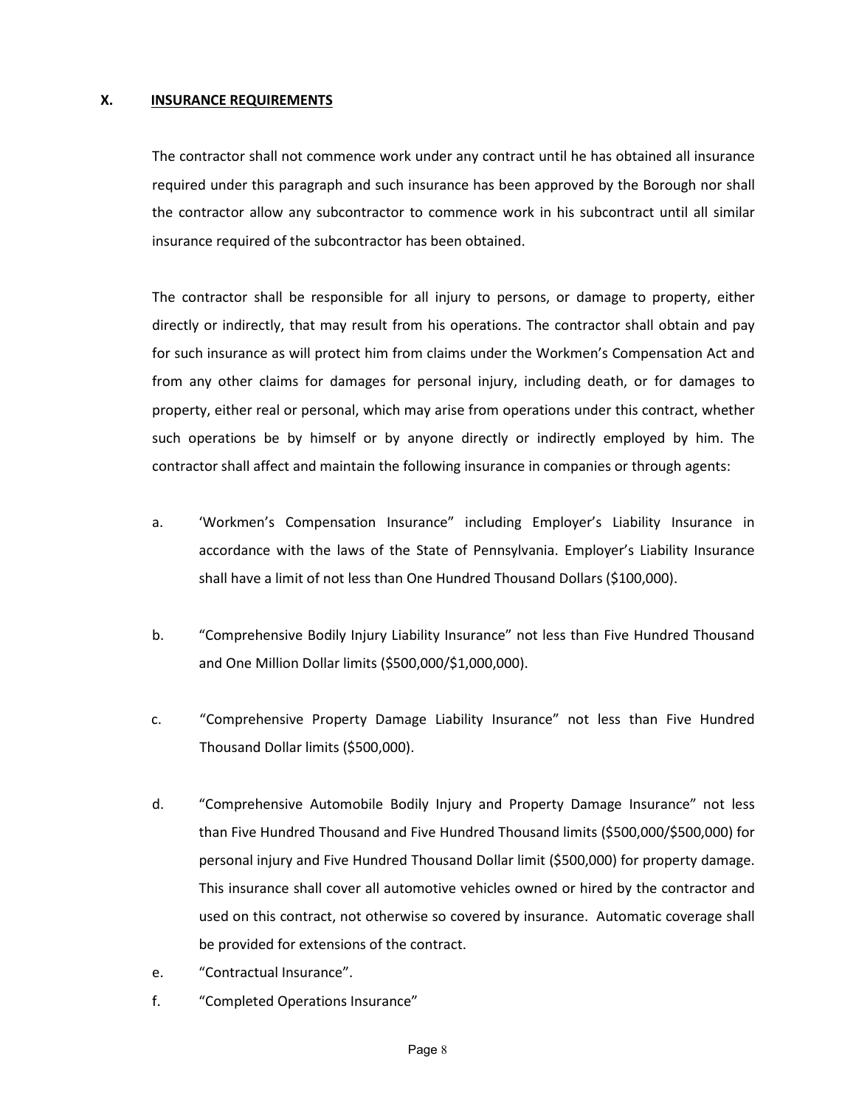#### **X. INSURANCE REQUIREMENTS**

The contractor shall not commence work under any contract until he has obtained all insurance required under this paragraph and such insurance has been approved by the Borough nor shall the contractor allow any subcontractor to commence work in his subcontract until all similar insurance required of the subcontractor has been obtained.

The contractor shall be responsible for all injury to persons, or damage to property, either directly or indirectly, that may result from his operations. The contractor shall obtain and pay for such insurance as will protect him from claims under the Workmen's Compensation Act and from any other claims for damages for personal injury, including death, or for damages to property, either real or personal, which may arise from operations under this contract, whether such operations be by himself or by anyone directly or indirectly employed by him. The contractor shall affect and maintain the following insurance in companies or through agents:

- a. 'Workmen's Compensation Insurance" including Employer's Liability Insurance in accordance with the laws of the State of Pennsylvania. Employer's Liability Insurance shall have a limit of not less than One Hundred Thousand Dollars (\$100,000).
- b. "Comprehensive Bodily Injury Liability Insurance" not less than Five Hundred Thousand and One Million Dollar limits (\$500,000/\$1,000,000).
- c. "Comprehensive Property Damage Liability Insurance" not less than Five Hundred Thousand Dollar limits (\$500,000).
- d. "Comprehensive Automobile Bodily Injury and Property Damage Insurance" not less than Five Hundred Thousand and Five Hundred Thousand limits (\$500,000/\$500,000) for personal injury and Five Hundred Thousand Dollar limit (\$500,000) for property damage. This insurance shall cover all automotive vehicles owned or hired by the contractor and used on this contract, not otherwise so covered by insurance. Automatic coverage shall be provided for extensions of the contract.
- e. "Contractual Insurance".
- f. "Completed Operations Insurance"